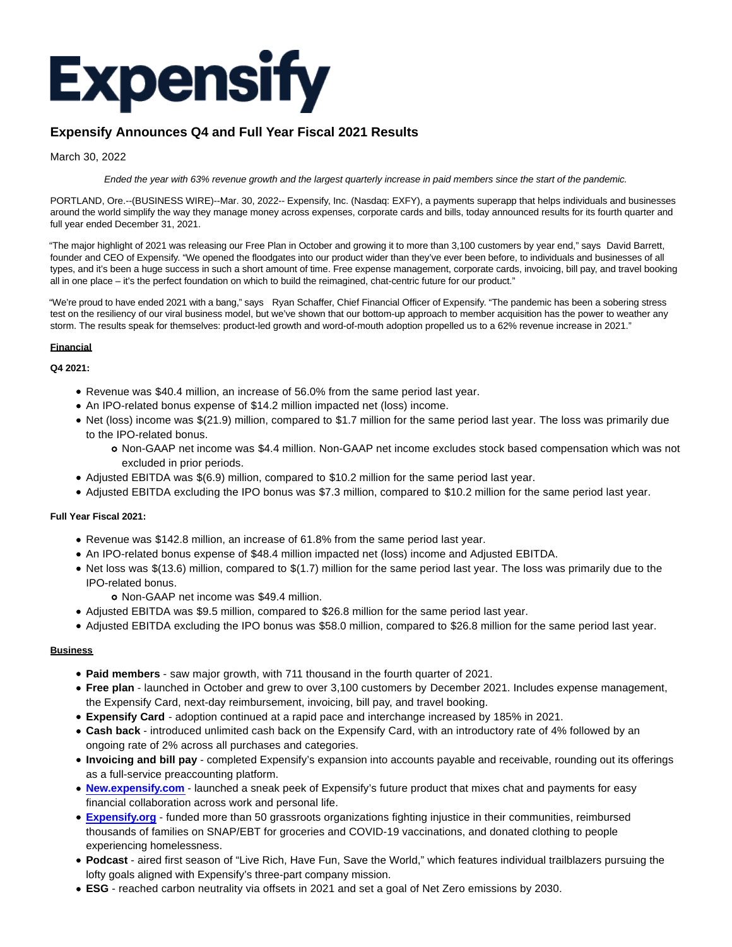

# **Expensify Announces Q4 and Full Year Fiscal 2021 Results**

March 30, 2022

Ended the year with 63% revenue growth and the largest quarterly increase in paid members since the start of the pandemic.

PORTLAND, Ore.--(BUSINESS WIRE)--Mar. 30, 2022-- Expensify, Inc. (Nasdaq: EXFY), a payments superapp that helps individuals and businesses around the world simplify the way they manage money across expenses, corporate cards and bills, today announced results for its fourth quarter and full year ended December 31, 2021.

"The major highlight of 2021 was releasing our Free Plan in October and growing it to more than 3,100 customers by year end," says David Barrett, founder and CEO of Expensify. "We opened the floodgates into our product wider than they've ever been before, to individuals and businesses of all types, and it's been a huge success in such a short amount of time. Free expense management, corporate cards, invoicing, bill pay, and travel booking all in one place – it's the perfect foundation on which to build the reimagined, chat-centric future for our product."

"We're proud to have ended 2021 with a bang," says Ryan Schaffer, Chief Financial Officer of Expensify. "The pandemic has been a sobering stress test on the resiliency of our viral business model, but we've shown that our bottom-up approach to member acquisition has the power to weather any storm. The results speak for themselves: product-led growth and word-of-mouth adoption propelled us to a 62% revenue increase in 2021."

# **Financial**

# **Q4 2021:**

- Revenue was \$40.4 million, an increase of 56.0% from the same period last year.
- An IPO-related bonus expense of \$14.2 million impacted net (loss) income.
- Net (loss) income was \$(21.9) million, compared to \$1.7 million for the same period last year. The loss was primarily due to the IPO-related bonus.
	- Non-GAAP net income was \$4.4 million. Non-GAAP net income excludes stock based compensation which was not excluded in prior periods.
- Adjusted EBITDA was \$(6.9) million, compared to \$10.2 million for the same period last year.
- Adjusted EBITDA excluding the IPO bonus was \$7.3 million, compared to \$10.2 million for the same period last year.

# **Full Year Fiscal 2021:**

- Revenue was \$142.8 million, an increase of 61.8% from the same period last year.
- An IPO-related bonus expense of \$48.4 million impacted net (loss) income and Adjusted EBITDA.
- Net loss was \$(13.6) million, compared to \$(1.7) million for the same period last year. The loss was primarily due to the IPO-related bonus.
	- Non-GAAP net income was \$49.4 million.
- Adjusted EBITDA was \$9.5 million, compared to \$26.8 million for the same period last year.
- Adjusted EBITDA excluding the IPO bonus was \$58.0 million, compared to \$26.8 million for the same period last year.

## **Business**

- **Paid members** saw major growth, with 711 thousand in the fourth quarter of 2021.
- **Free plan** launched in October and grew to over 3,100 customers by December 2021. Includes expense management, the Expensify Card, next-day reimbursement, invoicing, bill pay, and travel booking.
- **Expensify Card**  adoption continued at a rapid pace and interchange increased by 185% in 2021.
- **Cash back** introduced unlimited cash back on the Expensify Card, with an introductory rate of 4% followed by an ongoing rate of 2% across all purchases and categories.
- **Invoicing and bill pay** completed Expensify's expansion into accounts payable and receivable, rounding out its offerings as a full-service preaccounting platform.
- **[New.expensify.com](http://new.expensify.com/)** launched a sneak peek of Expensify's future product that mixes chat and payments for easy financial collaboration across work and personal life.
- **[Expensify.org](http://expensify.org/)** funded more than 50 grassroots organizations fighting injustice in their communities, reimbursed thousands of families on SNAP/EBT for groceries and COVID-19 vaccinations, and donated clothing to people experiencing homelessness.
- **Podcast** aired first season of "Live Rich, Have Fun, Save the World," which features individual trailblazers pursuing the lofty goals aligned with Expensify's three-part company mission.
- **ESG** reached carbon neutrality via offsets in 2021 and set a goal of Net Zero emissions by 2030.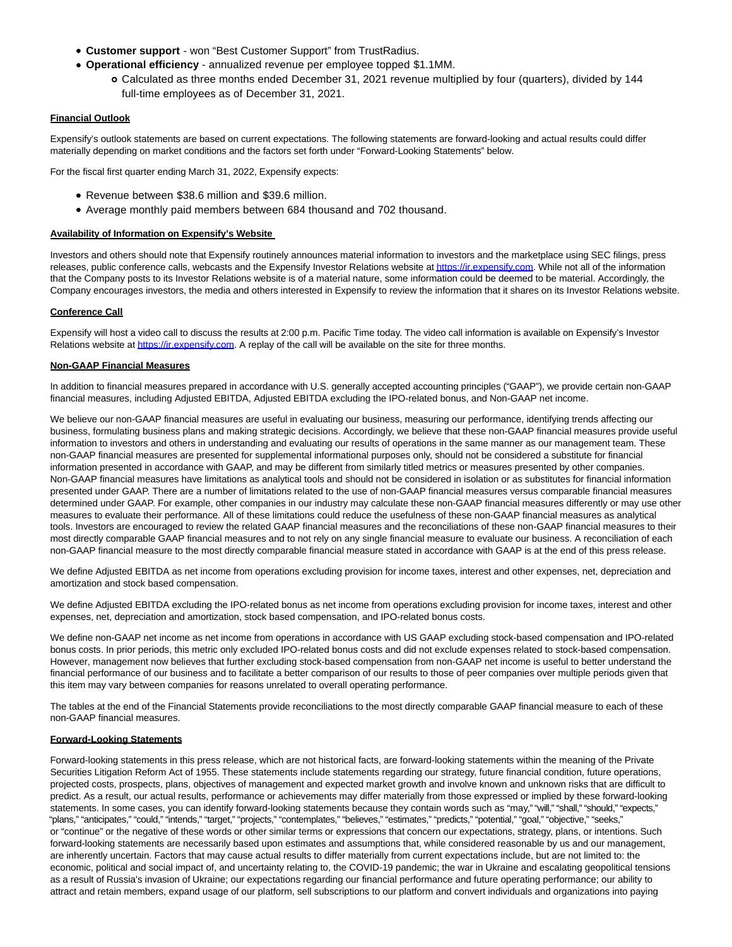- **Customer support**  won "Best Customer Support" from TrustRadius.
- **Operational efficiency** annualized revenue per employee topped \$1.1MM.
	- Calculated as three months ended December 31, 2021 revenue multiplied by four (quarters), divided by 144 full-time employees as of December 31, 2021.

## **Financial Outlook**

Expensify's outlook statements are based on current expectations. The following statements are forward-looking and actual results could differ materially depending on market conditions and the factors set forth under "Forward-Looking Statements" below.

For the fiscal first quarter ending March 31, 2022, Expensify expects:

- Revenue between \$38.6 million and \$39.6 million.
- Average monthly paid members between 684 thousand and 702 thousand.

## **Availability of Information on Expensify's Website**

Investors and others should note that Expensify routinely announces material information to investors and the marketplace using SEC filings, press releases, public conference calls, webcasts and the Expensify Investor Relations website a[t https://ir.expensify.com.](https://cts.businesswire.com/ct/CT?id=smartlink&url=https%3A%2F%2Fir.expensify.com&esheet=52633650&newsitemid=20220330005845&lan=en-US&anchor=https%3A%2F%2Fir.expensify.com&index=1&md5=513c6b1d61cabb25c27a10a972326e6b) While not all of the information that the Company posts to its Investor Relations website is of a material nature, some information could be deemed to be material. Accordingly, the Company encourages investors, the media and others interested in Expensify to review the information that it shares on its Investor Relations website.

## **Conference Call**

Expensify will host a video call to discuss the results at 2:00 p.m. Pacific Time today. The video call information is available on Expensify's Investor Relations website a[t https://ir.expensify.com.](https://cts.businesswire.com/ct/CT?id=smartlink&url=https%3A%2F%2Fir.expensify.com&esheet=52633650&newsitemid=20220330005845&lan=en-US&anchor=https%3A%2F%2Fir.expensify.com&index=2&md5=b712416db34bc6834143003a0a9b0516) A replay of the call will be available on the site for three months.

## **Non-GAAP Financial Measures**

In addition to financial measures prepared in accordance with U.S. generally accepted accounting principles ("GAAP"), we provide certain non-GAAP financial measures, including Adjusted EBITDA, Adjusted EBITDA excluding the IPO-related bonus, and Non-GAAP net income.

We believe our non-GAAP financial measures are useful in evaluating our business, measuring our performance, identifying trends affecting our business, formulating business plans and making strategic decisions. Accordingly, we believe that these non-GAAP financial measures provide useful information to investors and others in understanding and evaluating our results of operations in the same manner as our management team. These non-GAAP financial measures are presented for supplemental informational purposes only, should not be considered a substitute for financial information presented in accordance with GAAP, and may be different from similarly titled metrics or measures presented by other companies. Non-GAAP financial measures have limitations as analytical tools and should not be considered in isolation or as substitutes for financial information presented under GAAP. There are a number of limitations related to the use of non-GAAP financial measures versus comparable financial measures determined under GAAP. For example, other companies in our industry may calculate these non-GAAP financial measures differently or may use other measures to evaluate their performance. All of these limitations could reduce the usefulness of these non-GAAP financial measures as analytical tools. Investors are encouraged to review the related GAAP financial measures and the reconciliations of these non-GAAP financial measures to their most directly comparable GAAP financial measures and to not rely on any single financial measure to evaluate our business. A reconciliation of each non-GAAP financial measure to the most directly comparable financial measure stated in accordance with GAAP is at the end of this press release.

We define Adjusted EBITDA as net income from operations excluding provision for income taxes, interest and other expenses, net, depreciation and amortization and stock based compensation.

We define Adjusted EBITDA excluding the IPO-related bonus as net income from operations excluding provision for income taxes, interest and other expenses, net, depreciation and amortization, stock based compensation, and IPO-related bonus costs.

We define non-GAAP net income as net income from operations in accordance with US GAAP excluding stock-based compensation and IPO-related bonus costs. In prior periods, this metric only excluded IPO-related bonus costs and did not exclude expenses related to stock-based compensation. However, management now believes that further excluding stock-based compensation from non-GAAP net income is useful to better understand the financial performance of our business and to facilitate a better comparison of our results to those of peer companies over multiple periods given that this item may vary between companies for reasons unrelated to overall operating performance.

The tables at the end of the Financial Statements provide reconciliations to the most directly comparable GAAP financial measure to each of these non-GAAP financial measures.

#### **Forward-Looking Statements**

Forward-looking statements in this press release, which are not historical facts, are forward-looking statements within the meaning of the Private Securities Litigation Reform Act of 1955. These statements include statements regarding our strategy, future financial condition, future operations, projected costs, prospects, plans, objectives of management and expected market growth and involve known and unknown risks that are difficult to predict. As a result, our actual results, performance or achievements may differ materially from those expressed or implied by these forward-looking statements. In some cases, you can identify forward-looking statements because they contain words such as "may," "will," "shall," "should," "expects," "plans," "anticipates," "could," "intends," "target," "projects," "contemplates," "believes," "estimates," "predicts," "potential," "goal," "objective," "seeks, or "continue" or the negative of these words or other similar terms or expressions that concern our expectations, strategy, plans, or intentions. Such forward-looking statements are necessarily based upon estimates and assumptions that, while considered reasonable by us and our management, are inherently uncertain. Factors that may cause actual results to differ materially from current expectations include, but are not limited to: the economic, political and social impact of, and uncertainty relating to, the COVID-19 pandemic; the war in Ukraine and escalating geopolitical tensions as a result of Russia's invasion of Ukraine; our expectations regarding our financial performance and future operating performance; our ability to attract and retain members, expand usage of our platform, sell subscriptions to our platform and convert individuals and organizations into paying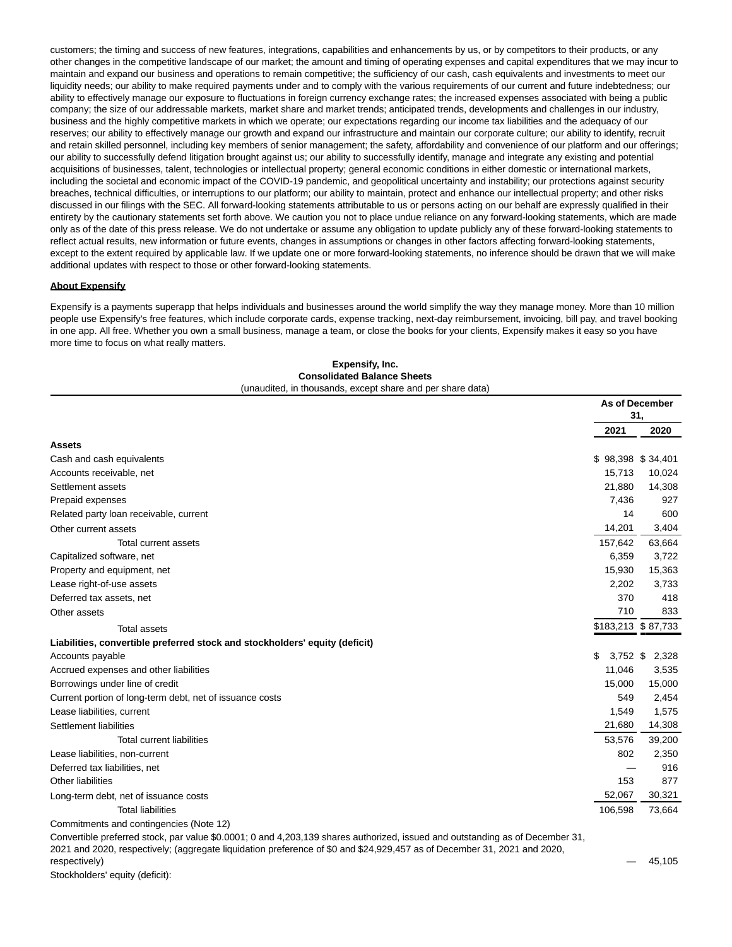customers; the timing and success of new features, integrations, capabilities and enhancements by us, or by competitors to their products, or any other changes in the competitive landscape of our market; the amount and timing of operating expenses and capital expenditures that we may incur to maintain and expand our business and operations to remain competitive; the sufficiency of our cash, cash equivalents and investments to meet our liquidity needs; our ability to make required payments under and to comply with the various requirements of our current and future indebtedness; our ability to effectively manage our exposure to fluctuations in foreign currency exchange rates; the increased expenses associated with being a public company; the size of our addressable markets, market share and market trends; anticipated trends, developments and challenges in our industry, business and the highly competitive markets in which we operate; our expectations regarding our income tax liabilities and the adequacy of our reserves; our ability to effectively manage our growth and expand our infrastructure and maintain our corporate culture; our ability to identify, recruit and retain skilled personnel, including key members of senior management; the safety, affordability and convenience of our platform and our offerings; our ability to successfully defend litigation brought against us; our ability to successfully identify, manage and integrate any existing and potential acquisitions of businesses, talent, technologies or intellectual property; general economic conditions in either domestic or international markets, including the societal and economic impact of the COVID-19 pandemic, and geopolitical uncertainty and instability; our protections against security breaches, technical difficulties, or interruptions to our platform; our ability to maintain, protect and enhance our intellectual property; and other risks discussed in our filings with the SEC. All forward-looking statements attributable to us or persons acting on our behalf are expressly qualified in their entirety by the cautionary statements set forth above. We caution you not to place undue reliance on any forward-looking statements, which are made only as of the date of this press release. We do not undertake or assume any obligation to update publicly any of these forward-looking statements to reflect actual results, new information or future events, changes in assumptions or changes in other factors affecting forward-looking statements, except to the extent required by applicable law. If we update one or more forward-looking statements, no inference should be drawn that we will make additional updates with respect to those or other forward-looking statements.

## **About Expensify**

Expensify is a payments superapp that helps individuals and businesses around the world simplify the way they manage money. More than 10 million people use Expensify's free features, which include corporate cards, expense tracking, next-day reimbursement, invoicing, bill pay, and travel booking in one app. All free. Whether you own a small business, manage a team, or close the books for your clients, Expensify makes it easy so you have more time to focus on what really matters.

|                                                                             |                    | <b>As of December</b><br>31, |
|-----------------------------------------------------------------------------|--------------------|------------------------------|
|                                                                             | 2021               | 2020                         |
| <b>Assets</b>                                                               |                    |                              |
| Cash and cash equivalents                                                   | \$98,398 \$34,401  |                              |
| Accounts receivable, net                                                    | 15,713             | 10,024                       |
| Settlement assets                                                           | 21.880             | 14,308                       |
| Prepaid expenses                                                            | 7,436              | 927                          |
| Related party loan receivable, current                                      | 14                 | 600                          |
| Other current assets                                                        | 14,201             | 3,404                        |
| Total current assets                                                        | 157,642            | 63,664                       |
| Capitalized software, net                                                   | 6,359              | 3,722                        |
| Property and equipment, net                                                 | 15,930             | 15,363                       |
| Lease right-of-use assets                                                   | 2,202              | 3,733                        |
| Deferred tax assets, net                                                    | 370                | 418                          |
| Other assets                                                                | 710                | 833                          |
| <b>Total assets</b>                                                         | \$183,213 \$87,733 |                              |
| Liabilities, convertible preferred stock and stockholders' equity (deficit) |                    |                              |
| Accounts payable                                                            | \$<br>$3,752$ \$   | 2,328                        |
| Accrued expenses and other liabilities                                      | 11,046             | 3,535                        |
| Borrowings under line of credit                                             | 15,000             | 15,000                       |
| Current portion of long-term debt, net of issuance costs                    | 549                | 2,454                        |
| Lease liabilities, current                                                  | 1,549              | 1,575                        |
| Settlement liabilities                                                      | 21,680             | 14,308                       |
| <b>Total current liabilities</b>                                            | 53,576             | 39,200                       |
| Lease liabilities, non-current                                              | 802                | 2,350                        |
| Deferred tax liabilities, net                                               |                    | 916                          |
| <b>Other liabilities</b>                                                    | 153                | 877                          |
| Long-term debt, net of issuance costs                                       | 52,067             | 30,321                       |
| <b>Total liabilities</b>                                                    | 106,598            | 73,664                       |
| Commitments and contingencies (Note 12)                                     |                    |                              |

**Expensify, Inc. Consolidated Balance Sheets** (unaudited, in thousands, except share and per share data)

Convertible preferred stock, par value \$0.0001; 0 and 4,203,139 shares authorized, issued and outstanding as of December 31, 2021 and 2020, respectively; (aggregate liquidation preference of \$0 and \$24,929,457 as of December 31, 2021 and 2020,

respectively) — 45,105

Stockholders' equity (deficit):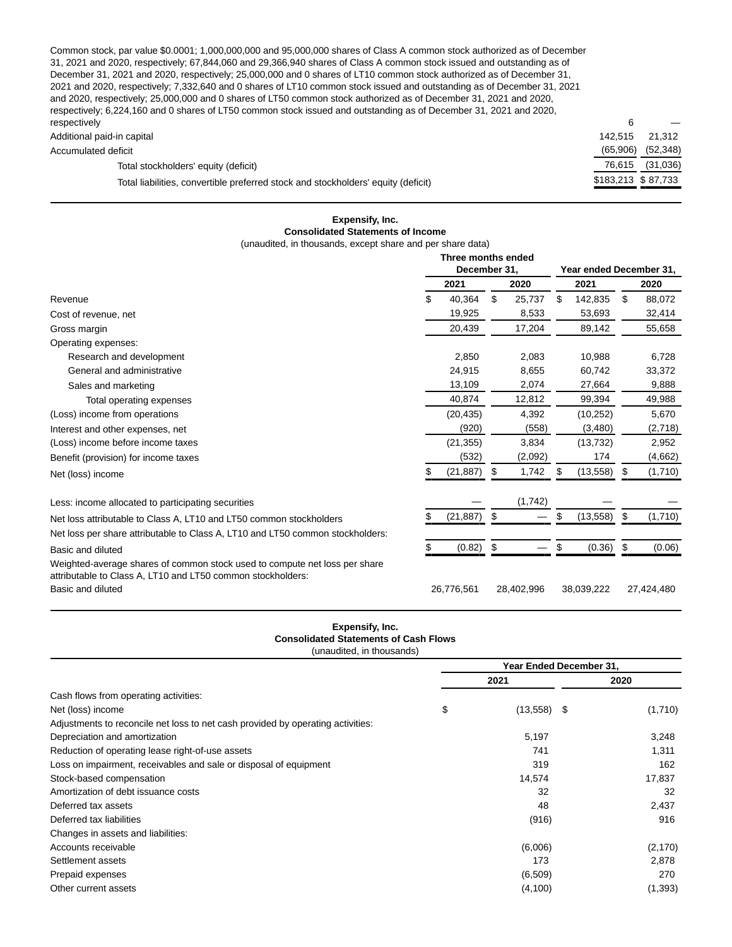Common stock, par value \$0.0001; 1,000,000,000 and 95,000,000 shares of Class A common stock authorized as of December 31, 2021 and 2020, respectively; 67,844,060 and 29,366,940 shares of Class A common stock issued and outstanding as of December 31, 2021 and 2020, respectively; 25,000,000 and 0 shares of LT10 common stock authorized as of December 31, 2021 and 2020, respectively; 7,332,640 and 0 shares of LT10 common stock issued and outstanding as of December 31, 2021 and 2020, respectively; 25,000,000 and 0 shares of LT50 common stock authorized as of December 31, 2021 and 2020, respectively; 6,224,160 and 0 shares of LT50 common stock issued and outstanding as of December 31, 2021 and 2020, respectively  $\hspace{1.6cm}6 \hspace{1.2cm}$   $-$ 

| <b>IGSPECUVEIV</b>                                                                |                    |           |
|-----------------------------------------------------------------------------------|--------------------|-----------|
| Additional paid-in capital                                                        | 142.515            | 21.312    |
| Accumulated deficit                                                               | (65.906)           | (52, 348) |
| Total stockholders' equity (deficit)                                              | 76.615             | (31,036)  |
| Total liabilities, convertible preferred stock and stockholders' equity (deficit) | \$183,213 \$87,733 |           |
|                                                                                   |                    |           |

## **Expensify, Inc. Consolidated Statements of Income** (unaudited, in thousands, except share and per share data)

|                                                                                                                                           | Three months ended |                |                         |            |    |            |     |            |
|-------------------------------------------------------------------------------------------------------------------------------------------|--------------------|----------------|-------------------------|------------|----|------------|-----|------------|
|                                                                                                                                           | December 31.       |                | Year ended December 31, |            |    |            |     |            |
|                                                                                                                                           |                    | 2021           |                         | 2020       |    | 2021       |     | 2020       |
| Revenue                                                                                                                                   | \$                 | 40,364         | \$                      | 25,737     | \$ | 142.835    | \$  | 88,072     |
| Cost of revenue, net                                                                                                                      |                    | 19,925         |                         | 8,533      |    | 53,693     |     | 32,414     |
| Gross margin                                                                                                                              |                    | 20,439         |                         | 17,204     |    | 89,142     |     | 55,658     |
| Operating expenses:                                                                                                                       |                    |                |                         |            |    |            |     |            |
| Research and development                                                                                                                  |                    | 2.850          |                         | 2.083      |    | 10.988     |     | 6.728      |
| General and administrative                                                                                                                |                    | 24,915         |                         | 8.655      |    | 60.742     |     | 33,372     |
| Sales and marketing                                                                                                                       |                    | 13,109         |                         | 2,074      |    | 27,664     |     | 9,888      |
| Total operating expenses                                                                                                                  |                    | 40,874         |                         | 12,812     |    | 99,394     |     | 49,988     |
| (Loss) income from operations                                                                                                             |                    | (20, 435)      |                         | 4,392      |    | (10, 252)  |     | 5,670      |
| Interest and other expenses, net                                                                                                          |                    | (920)          |                         | (558)      |    | (3,480)    |     | (2,718)    |
| (Loss) income before income taxes                                                                                                         |                    | (21, 355)      |                         | 3,834      |    | (13, 732)  |     | 2,952      |
| Benefit (provision) for income taxes                                                                                                      |                    | (532)          |                         | (2,092)    |    | 174        |     | (4,662)    |
| Net (loss) income                                                                                                                         |                    | (21, 887)      | -\$                     | 1,742      | S  | (13, 558)  | \$  | (1,710)    |
| Less: income allocated to participating securities                                                                                        |                    |                |                         | (1,742)    |    |            |     |            |
| Net loss attributable to Class A, LT10 and LT50 common stockholders                                                                       |                    | $(21, 887)$ \$ |                         |            | \$ | (13, 558)  | -\$ | (1,710)    |
| Net loss per share attributable to Class A, LT10 and LT50 common stockholders:                                                            |                    |                |                         |            |    |            |     |            |
| Basic and diluted                                                                                                                         |                    | (0.82)         | - \$                    |            | \$ | (0.36)     | \$  | (0.06)     |
| Weighted-average shares of common stock used to compute net loss per share<br>attributable to Class A, LT10 and LT50 common stockholders: |                    |                |                         |            |    |            |     |            |
| Basic and diluted                                                                                                                         |                    | 26,776,561     |                         | 28,402,996 |    | 38,039,222 |     | 27,424,480 |

## **Expensify, Inc. Consolidated Statements of Cash Flows** (unaudited, in thousands)

|                                                                                 |    | Year Ended December 31, |      |          |  |
|---------------------------------------------------------------------------------|----|-------------------------|------|----------|--|
|                                                                                 |    | 2021                    | 2020 |          |  |
| Cash flows from operating activities:                                           |    |                         |      |          |  |
| Net (loss) income                                                               | \$ | $(13,558)$ \$           |      | (1,710)  |  |
| Adjustments to reconcile net loss to net cash provided by operating activities: |    |                         |      |          |  |
| Depreciation and amortization                                                   |    | 5,197                   |      | 3,248    |  |
| Reduction of operating lease right-of-use assets                                |    | 741                     |      | 1,311    |  |
| Loss on impairment, receivables and sale or disposal of equipment               |    | 319                     |      | 162      |  |
| Stock-based compensation                                                        |    | 14,574                  |      | 17,837   |  |
| Amortization of debt issuance costs                                             |    | 32                      |      | 32       |  |
| Deferred tax assets                                                             |    | 48                      |      | 2,437    |  |
| Deferred tax liabilities                                                        |    | (916)                   |      | 916      |  |
| Changes in assets and liabilities:                                              |    |                         |      |          |  |
| Accounts receivable                                                             |    | (6,006)                 |      | (2, 170) |  |
| Settlement assets                                                               |    | 173                     |      | 2,878    |  |
| Prepaid expenses                                                                |    | (6, 509)                |      | 270      |  |
| Other current assets                                                            |    | (4,100)                 |      | (1, 393) |  |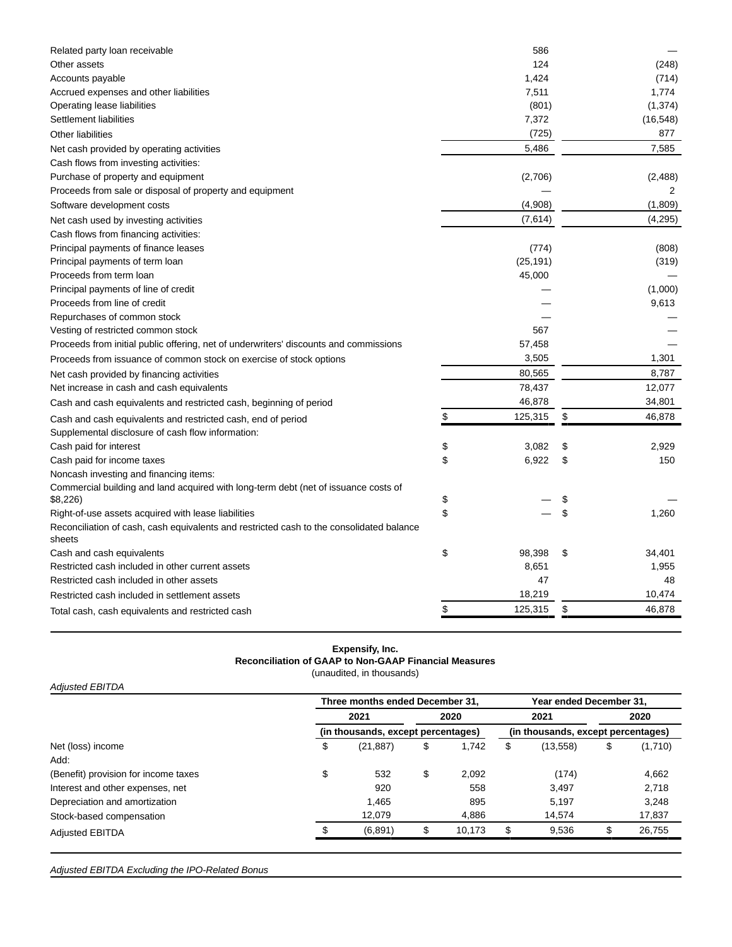| Related party loan receivable                                                                      | 586           |              |
|----------------------------------------------------------------------------------------------------|---------------|--------------|
| Other assets                                                                                       | 124           | (248)        |
| Accounts payable                                                                                   | 1,424         | (714)        |
| Accrued expenses and other liabilities                                                             | 7,511         | 1,774        |
| Operating lease liabilities                                                                        | (801)         | (1, 374)     |
| Settlement liabilities                                                                             | 7,372         | (16, 548)    |
| <b>Other liabilities</b>                                                                           | (725)         | 877          |
| Net cash provided by operating activities                                                          | 5,486         | 7,585        |
| Cash flows from investing activities:                                                              |               |              |
| Purchase of property and equipment                                                                 | (2,706)       | (2,488)      |
| Proceeds from sale or disposal of property and equipment                                           |               | 2            |
| Software development costs                                                                         | (4,908)       | (1,809)      |
| Net cash used by investing activities                                                              | (7,614)       | (4,295)      |
| Cash flows from financing activities:                                                              |               |              |
| Principal payments of finance leases                                                               | (774)         | (808)        |
| Principal payments of term loan                                                                    | (25, 191)     | (319)        |
| Proceeds from term loan                                                                            | 45,000        |              |
| Principal payments of line of credit                                                               |               | (1,000)      |
| Proceeds from line of credit                                                                       |               | 9,613        |
| Repurchases of common stock                                                                        |               |              |
| Vesting of restricted common stock                                                                 | 567           |              |
| Proceeds from initial public offering, net of underwriters' discounts and commissions              | 57,458        |              |
| Proceeds from issuance of common stock on exercise of stock options                                | 3,505         | 1,301        |
| Net cash provided by financing activities                                                          | 80,565        | 8,787        |
| Net increase in cash and cash equivalents                                                          | 78,437        | 12,077       |
| Cash and cash equivalents and restricted cash, beginning of period                                 | 46,878        | 34,801       |
| Cash and cash equivalents and restricted cash, end of period                                       | \$<br>125,315 | \$<br>46,878 |
| Supplemental disclosure of cash flow information:                                                  |               |              |
| Cash paid for interest                                                                             | \$<br>3,082   | \$<br>2,929  |
| Cash paid for income taxes                                                                         | \$<br>6,922   | \$<br>150    |
| Noncash investing and financing items:                                                             |               |              |
| Commercial building and land acquired with long-term debt (net of issuance costs of                |               |              |
| \$8,226)                                                                                           | \$            | \$           |
| Right-of-use assets acquired with lease liabilities                                                | \$            | \$<br>1,260  |
| Reconciliation of cash, cash equivalents and restricted cash to the consolidated balance<br>sheets |               |              |
| Cash and cash equivalents                                                                          | \$<br>98,398  | \$<br>34,401 |
| Restricted cash included in other current assets                                                   | 8,651         | 1,955        |
| Restricted cash included in other assets                                                           | 47            | 48           |
| Restricted cash included in settlement assets                                                      | 18,219        | 10,474       |
| Total cash, cash equivalents and restricted cash                                                   | \$<br>125,315 | \$<br>46,878 |

# **Expensify, Inc. Reconciliation of GAAP to Non-GAAP Financial Measures**

(unaudited, in thousands)

| <b>Adjusted EBITDA</b>               |                                    |                                 |    |        |    |                                    |                         |         |  |
|--------------------------------------|------------------------------------|---------------------------------|----|--------|----|------------------------------------|-------------------------|---------|--|
|                                      |                                    | Three months ended December 31, |    |        |    |                                    | Year ended December 31, |         |  |
|                                      |                                    | 2021                            |    | 2020   |    | 2021                               | 2020                    |         |  |
|                                      | (in thousands, except percentages) |                                 |    |        |    | (in thousands, except percentages) |                         |         |  |
| Net (loss) income                    | \$                                 | (21, 887)                       | \$ | 1.742  | \$ | (13, 558)                          | \$                      | (1,710) |  |
| Add:                                 |                                    |                                 |    |        |    |                                    |                         |         |  |
| (Benefit) provision for income taxes | \$                                 | 532                             | \$ | 2.092  |    | (174)                              |                         | 4,662   |  |
| Interest and other expenses, net     |                                    | 920                             |    | 558    |    | 3.497                              |                         | 2,718   |  |
| Depreciation and amortization        |                                    | 1,465                           |    | 895    |    | 5.197                              |                         | 3,248   |  |
| Stock-based compensation             |                                    | 12.079                          |    | 4,886  |    | 14.574                             |                         | 17,837  |  |
| <b>Adjusted EBITDA</b>               |                                    | (6,891)                         | \$ | 10.173 | \$ | 9,536                              | \$                      | 26,755  |  |

Adjusted EBITDA Excluding the IPO-Related Bonus